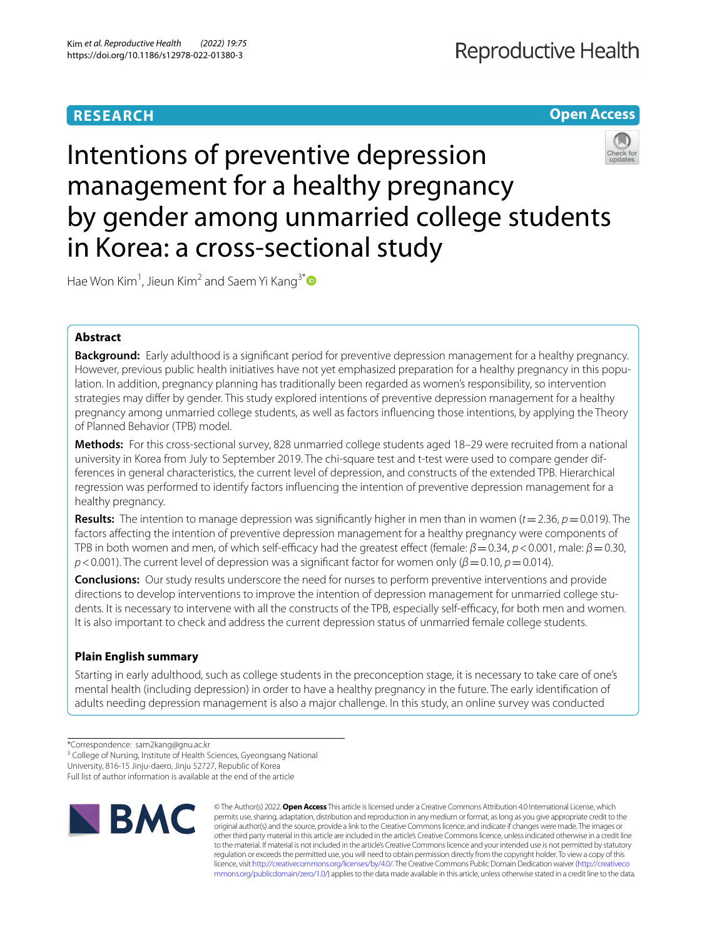# **RESEARCH**

**Open Access**

# Intentions of preventive depression management for a healthy pregnancy by gender among unmarried college students in Korea: a cross-sectional study

Hae Won Kim<sup>1</sup>, Jieun Kim<sup>2</sup> and Saem Yi Kang<sup>3[\\*](http://orcid.org/0000-0003-0033-4628)</sup>

# **Abstract**

**Background:** Early adulthood is a signifcant period for preventive depression management for a healthy pregnancy. However, previous public health initiatives have not yet emphasized preparation for a healthy pregnancy in this population. In addition, pregnancy planning has traditionally been regarded as women's responsibility, so intervention strategies may difer by gender. This study explored intentions of preventive depression management for a healthy pregnancy among unmarried college students, as well as factors infuencing those intentions, by applying the Theory of Planned Behavior (TPB) model.

**Methods:** For this cross-sectional survey, 828 unmarried college students aged 18–29 were recruited from a national university in Korea from July to September 2019. The chi-square test and t-test were used to compare gender differences in general characteristics, the current level of depression, and constructs of the extended TPB. Hierarchical regression was performed to identify factors infuencing the intention of preventive depression management for a healthy pregnancy.

**Results:** The intention to manage depression was significantly higher in men than in women  $(t = 2.36, p = 0.019)$ . The factors afecting the intention of preventive depression management for a healthy pregnancy were components of TPB in both women and men, of which self-efficacy had the greatest effect (female: *β* = 0.34, *p* < 0.001, male: *β* = 0.30, *p*<0.001). The current level of depression was a significant factor for women only (*β*=0.10, *p*=0.014).

**Conclusions:** Our study results underscore the need for nurses to perform preventive interventions and provide directions to develop interventions to improve the intention of depression management for unmarried college students. It is necessary to intervene with all the constructs of the TPB, especially self-efficacy, for both men and women. It is also important to check and address the current depression status of unmarried female college students.

# **Plain English summary**

Starting in early adulthood, such as college students in the preconception stage, it is necessary to take care of one's mental health (including depression) in order to have a healthy pregnancy in the future. The early identifcation of adults needing depression management is also a major challenge. In this study, an online survey was conducted

<sup>3</sup> College of Nursing, Institute of Health Sciences, Gyeongsang National

University, 816-15 Jinju-daero, Jinju 52727, Republic of Korea

Full list of author information is available at the end of the article



© The Author(s) 2022. **Open Access** This article is licensed under a Creative Commons Attribution 4.0 International License, which permits use, sharing, adaptation, distribution and reproduction in any medium or format, as long as you give appropriate credit to the original author(s) and the source, provide a link to the Creative Commons licence, and indicate if changes were made. The images or other third party material in this article are included in the article's Creative Commons licence, unless indicated otherwise in a credit line to the material. If material is not included in the article's Creative Commons licence and your intended use is not permitted by statutory regulation or exceeds the permitted use, you will need to obtain permission directly from the copyright holder. To view a copy of this licence, visit [http://creativecommons.org/licenses/by/4.0/.](http://creativecommons.org/licenses/by/4.0/) The Creative Commons Public Domain Dedication waiver ([http://creativeco](http://creativecommons.org/publicdomain/zero/1.0/) [mmons.org/publicdomain/zero/1.0/](http://creativecommons.org/publicdomain/zero/1.0/)) applies to the data made available in this article, unless otherwise stated in a credit line to the data.

<sup>\*</sup>Correspondence: sam2kang@gnu.ac.kr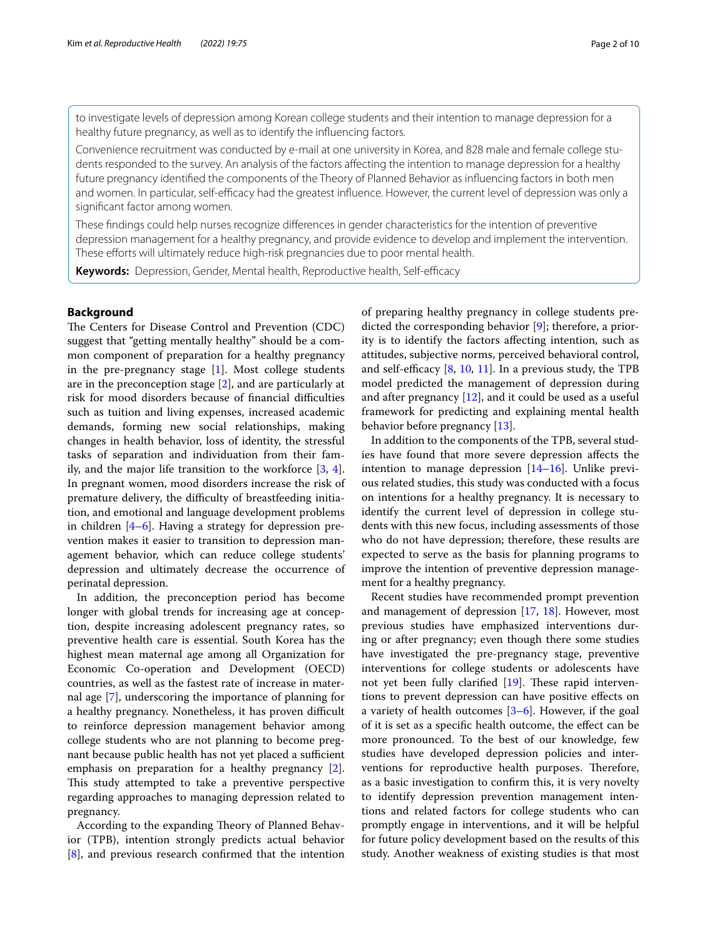to investigate levels of depression among Korean college students and their intention to manage depression for a healthy future pregnancy, as well as to identify the infuencing factors.

Convenience recruitment was conducted by e-mail at one university in Korea, and 828 male and female college students responded to the survey. An analysis of the factors afecting the intention to manage depression for a healthy future pregnancy identifed the components of the Theory of Planned Behavior as infuencing factors in both men and women. In particular, self-efficacy had the greatest influence. However, the current level of depression was only a signifcant factor among women.

These fndings could help nurses recognize diferences in gender characteristics for the intention of preventive depression management for a healthy pregnancy, and provide evidence to develop and implement the intervention. These efforts will ultimately reduce high-risk pregnancies due to poor mental health.

Keywords: Depression, Gender, Mental health, Reproductive health, Self-efficacy

# **Background**

The Centers for Disease Control and Prevention (CDC) suggest that "getting mentally healthy" should be a common component of preparation for a healthy pregnancy in the pre-pregnancy stage [\[1](#page-8-0)]. Most college students are in the preconception stage [[2\]](#page-8-1), and are particularly at risk for mood disorders because of financial difficulties such as tuition and living expenses, increased academic demands, forming new social relationships, making changes in health behavior, loss of identity, the stressful tasks of separation and individuation from their family, and the major life transition to the workforce [[3,](#page-8-2) [4](#page-8-3)]. In pregnant women, mood disorders increase the risk of premature delivery, the difficulty of breastfeeding initiation, and emotional and language development problems in children  $[4-6]$  $[4-6]$ . Having a strategy for depression prevention makes it easier to transition to depression management behavior, which can reduce college students' depression and ultimately decrease the occurrence of perinatal depression.

In addition, the preconception period has become longer with global trends for increasing age at conception, despite increasing adolescent pregnancy rates, so preventive health care is essential. South Korea has the highest mean maternal age among all Organization for Economic Co-operation and Development (OECD) countries, as well as the fastest rate of increase in maternal age [[7\]](#page-8-5), underscoring the importance of planning for a healthy pregnancy. Nonetheless, it has proven difficult to reinforce depression management behavior among college students who are not planning to become pregnant because public health has not yet placed a sufficient emphasis on preparation for a healthy pregnancy [\[2](#page-8-1)]. This study attempted to take a preventive perspective regarding approaches to managing depression related to pregnancy.

According to the expanding Theory of Planned Behavior (TPB), intention strongly predicts actual behavior [[8\]](#page-8-6), and previous research confrmed that the intention of preparing healthy pregnancy in college students predicted the corresponding behavior [\[9](#page-8-7)]; therefore, a priority is to identify the factors afecting intention, such as attitudes, subjective norms, perceived behavioral control, and self-efficacy  $[8, 10, 11]$  $[8, 10, 11]$  $[8, 10, 11]$  $[8, 10, 11]$  $[8, 10, 11]$  $[8, 10, 11]$ . In a previous study, the TPB model predicted the management of depression during and after pregnancy  $[12]$  $[12]$  $[12]$ , and it could be used as a useful framework for predicting and explaining mental health behavior before pregnancy [\[13\]](#page-9-2).

In addition to the components of the TPB, several studies have found that more severe depression afects the intention to manage depression  $[14–16]$  $[14–16]$ . Unlike previous related studies, this study was conducted with a focus on intentions for a healthy pregnancy. It is necessary to identify the current level of depression in college students with this new focus, including assessments of those who do not have depression; therefore, these results are expected to serve as the basis for planning programs to improve the intention of preventive depression management for a healthy pregnancy.

Recent studies have recommended prompt prevention and management of depression [\[17,](#page-9-5) [18](#page-9-6)]. However, most previous studies have emphasized interventions during or after pregnancy; even though there some studies have investigated the pre-pregnancy stage, preventive interventions for college students or adolescents have not yet been fully clarified  $[19]$  $[19]$ . These rapid interventions to prevent depression can have positive efects on a variety of health outcomes [\[3](#page-8-2)–[6\]](#page-8-4). However, if the goal of it is set as a specifc health outcome, the efect can be more pronounced. To the best of our knowledge, few studies have developed depression policies and interventions for reproductive health purposes. Therefore, as a basic investigation to confrm this, it is very novelty to identify depression prevention management intentions and related factors for college students who can promptly engage in interventions, and it will be helpful for future policy development based on the results of this study. Another weakness of existing studies is that most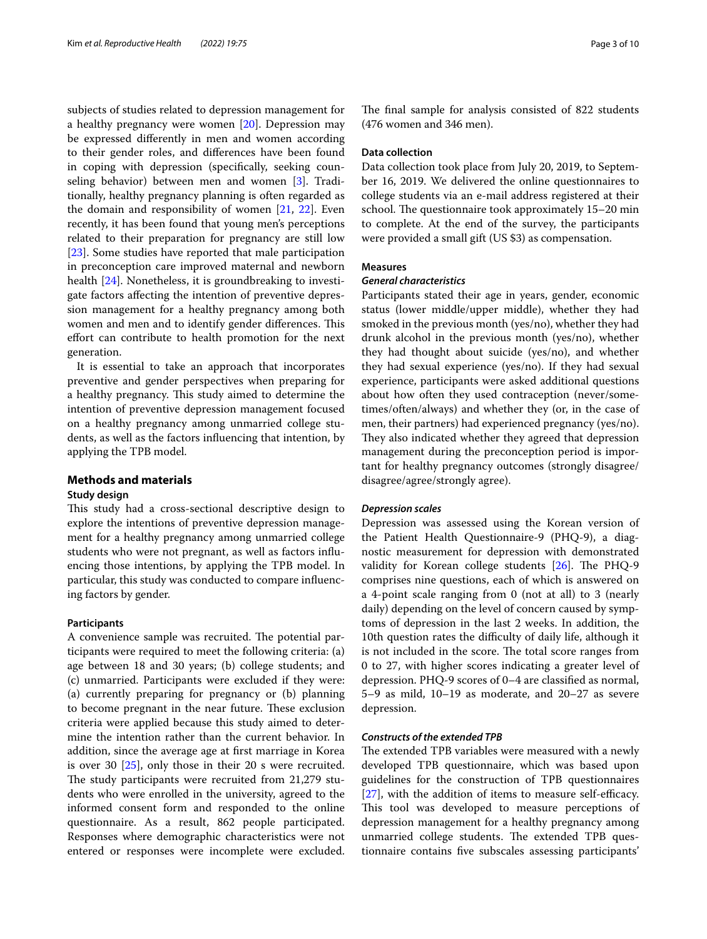subjects of studies related to depression management for a healthy pregnancy were women [[20\]](#page-9-8). Depression may be expressed diferently in men and women according to their gender roles, and diferences have been found in coping with depression (specifcally, seeking counseling behavior) between men and women [[3\]](#page-8-2). Traditionally, healthy pregnancy planning is often regarded as the domain and responsibility of women [[21,](#page-9-9) [22\]](#page-9-10). Even recently, it has been found that young men's perceptions related to their preparation for pregnancy are still low [[23\]](#page-9-11). Some studies have reported that male participation in preconception care improved maternal and newborn health [\[24](#page-9-12)]. Nonetheless, it is groundbreaking to investigate factors afecting the intention of preventive depression management for a healthy pregnancy among both women and men and to identify gender differences. This efort can contribute to health promotion for the next generation.

It is essential to take an approach that incorporates preventive and gender perspectives when preparing for a healthy pregnancy. This study aimed to determine the intention of preventive depression management focused on a healthy pregnancy among unmarried college students, as well as the factors infuencing that intention, by applying the TPB model.

# **Methods and materials**

## **Study design**

This study had a cross-sectional descriptive design to explore the intentions of preventive depression management for a healthy pregnancy among unmarried college students who were not pregnant, as well as factors infuencing those intentions, by applying the TPB model. In particular, this study was conducted to compare infuencing factors by gender.

# **Participants**

A convenience sample was recruited. The potential participants were required to meet the following criteria: (a) age between 18 and 30 years; (b) college students; and (c) unmarried. Participants were excluded if they were: (a) currently preparing for pregnancy or (b) planning to become pregnant in the near future. These exclusion criteria were applied because this study aimed to determine the intention rather than the current behavior. In addition, since the average age at frst marriage in Korea is over 30  $[25]$  $[25]$ , only those in their 20 s were recruited. The study participants were recruited from 21,279 students who were enrolled in the university, agreed to the informed consent form and responded to the online questionnaire. As a result, 862 people participated. Responses where demographic characteristics were not entered or responses were incomplete were excluded. The final sample for analysis consisted of 822 students (476 women and 346 men).

## **Data collection**

Data collection took place from July 20, 2019, to September 16, 2019. We delivered the online questionnaires to college students via an e-mail address registered at their school. The questionnaire took approximately 15–20 min to complete. At the end of the survey, the participants were provided a small gift (US \$3) as compensation.

# **Measures**

## *General characteristics*

Participants stated their age in years, gender, economic status (lower middle/upper middle), whether they had smoked in the previous month (yes/no), whether they had drunk alcohol in the previous month (yes/no), whether they had thought about suicide (yes/no), and whether they had sexual experience (yes/no). If they had sexual experience, participants were asked additional questions about how often they used contraception (never/sometimes/often/always) and whether they (or, in the case of men, their partners) had experienced pregnancy (yes/no). They also indicated whether they agreed that depression management during the preconception period is important for healthy pregnancy outcomes (strongly disagree/ disagree/agree/strongly agree).

## *Depression scales*

Depression was assessed using the Korean version of the Patient Health Questionnaire-9 (PHQ-9), a diagnostic measurement for depression with demonstrated validity for Korean college students  $[26]$  $[26]$ . The PHQ-9 comprises nine questions, each of which is answered on a 4-point scale ranging from 0 (not at all) to 3 (nearly daily) depending on the level of concern caused by symptoms of depression in the last 2 weeks. In addition, the 10th question rates the difficulty of daily life, although it is not included in the score. The total score ranges from 0 to 27, with higher scores indicating a greater level of depression. PHQ-9 scores of 0–4 are classifed as normal, 5–9 as mild, 10–19 as moderate, and 20–27 as severe depression.

# *Constructs of the extended TPB*

The extended TPB variables were measured with a newly developed TPB questionnaire, which was based upon guidelines for the construction of TPB questionnaires  $[27]$  $[27]$ , with the addition of items to measure self-efficacy. This tool was developed to measure perceptions of depression management for a healthy pregnancy among unmarried college students. The extended TPB questionnaire contains fve subscales assessing participants'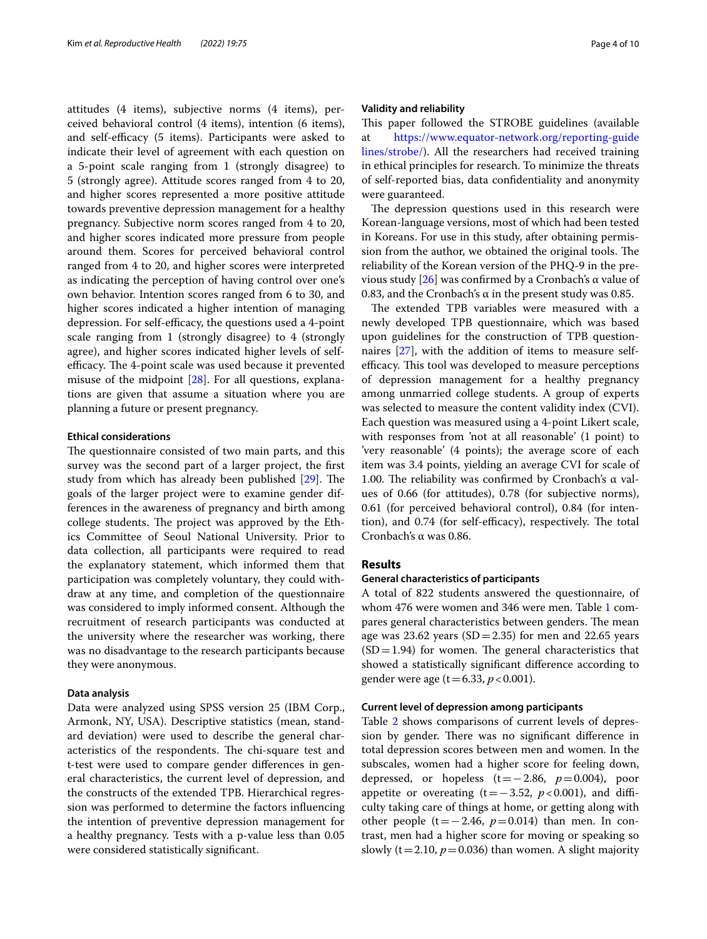attitudes (4 items), subjective norms (4 items), perceived behavioral control (4 items), intention (6 items), and self-efficacy (5 items). Participants were asked to indicate their level of agreement with each question on a 5-point scale ranging from 1 (strongly disagree) to 5 (strongly agree). Attitude scores ranged from 4 to 20, and higher scores represented a more positive attitude towards preventive depression management for a healthy pregnancy. Subjective norm scores ranged from 4 to 20, and higher scores indicated more pressure from people around them. Scores for perceived behavioral control ranged from 4 to 20, and higher scores were interpreted as indicating the perception of having control over one's own behavior. Intention scores ranged from 6 to 30, and higher scores indicated a higher intention of managing depression. For self-efficacy, the questions used a 4-point scale ranging from 1 (strongly disagree) to 4 (strongly agree), and higher scores indicated higher levels of selfefficacy. The 4-point scale was used because it prevented misuse of the midpoint [\[28](#page-9-16)]. For all questions, explanations are given that assume a situation where you are planning a future or present pregnancy.

## **Ethical considerations**

The questionnaire consisted of two main parts, and this survey was the second part of a larger project, the frst study from which has already been published  $[29]$ . The goals of the larger project were to examine gender differences in the awareness of pregnancy and birth among college students. The project was approved by the Ethics Committee of Seoul National University. Prior to data collection, all participants were required to read the explanatory statement, which informed them that participation was completely voluntary, they could withdraw at any time, and completion of the questionnaire was considered to imply informed consent. Although the recruitment of research participants was conducted at the university where the researcher was working, there was no disadvantage to the research participants because they were anonymous.

## **Data analysis**

Data were analyzed using SPSS version 25 (IBM Corp., Armonk, NY, USA). Descriptive statistics (mean, standard deviation) were used to describe the general characteristics of the respondents. The chi-square test and t-test were used to compare gender diferences in general characteristics, the current level of depression, and the constructs of the extended TPB. Hierarchical regression was performed to determine the factors infuencing the intention of preventive depression management for a healthy pregnancy. Tests with a p-value less than 0.05 were considered statistically signifcant.

## **Validity and reliability**

This paper followed the STROBE guidelines (available at [https://www.equator-network.org/reporting-guide](https://www.equator-network.org/reporting-guidelines/strobe/) [lines/strobe/](https://www.equator-network.org/reporting-guidelines/strobe/)). All the researchers had received training in ethical principles for research. To minimize the threats of self-reported bias, data confdentiality and anonymity were guaranteed.

The depression questions used in this research were Korean-language versions, most of which had been tested in Koreans. For use in this study, after obtaining permission from the author, we obtained the original tools. The reliability of the Korean version of the PHQ-9 in the previous study  $[26]$  $[26]$  was confirmed by a Cronbach's α value of 0.83, and the Cronbach's  $\alpha$  in the present study was 0.85.

The extended TPB variables were measured with a newly developed TPB questionnaire, which was based upon guidelines for the construction of TPB questionnaires [\[27](#page-9-15)], with the addition of items to measure selfefficacy. This tool was developed to measure perceptions of depression management for a healthy pregnancy among unmarried college students. A group of experts was selected to measure the content validity index (CVI). Each question was measured using a 4-point Likert scale, with responses from 'not at all reasonable' (1 point) to 'very reasonable' (4 points); the average score of each item was 3.4 points, yielding an average CVI for scale of 1.00. The reliability was confirmed by Cronbach's  $\alpha$  values of 0.66 (for attitudes), 0.78 (for subjective norms), 0.61 (for perceived behavioral control), 0.84 (for intention), and 0.74 (for self-efficacy), respectively. The total Cronbach's α was 0.86.

# **Results**

# **General characteristics of participants**

A total of 822 students answered the questionnaire, of whom 476 were women and 346 were men. Table [1](#page-4-0) compares general characteristics between genders. The mean age was 23.62 years  $(SD=2.35)$  for men and 22.65 years  $(SD=1.94)$  for women. The general characteristics that showed a statistically signifcant diference according to gender were age (t=6.33, *p*<0.001).

## **Current level of depression among participants**

Table [2](#page-5-0) shows comparisons of current levels of depression by gender. There was no significant difference in total depression scores between men and women. In the subscales, women had a higher score for feeling down, depressed, or hopeless  $(t=-2.86, p=0.004)$ , poor appetite or overeating  $(t=-3.52, p<0.001)$ , and difficulty taking care of things at home, or getting along with other people (t=−2.46,  $p=0.014$ ) than men. In contrast, men had a higher score for moving or speaking so slowly ( $t=2.10$ ,  $p=0.036$ ) than women. A slight majority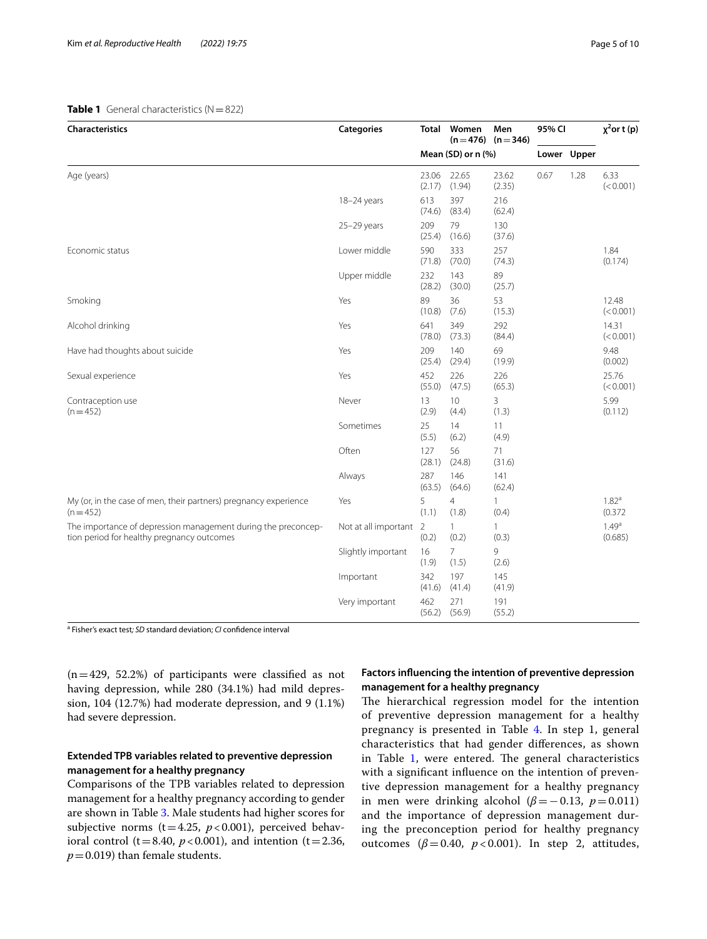# <span id="page-4-0"></span>**Table 1** General characteristics (N=822)

| <b>Characteristics</b>                                                                                      | <b>Categories</b>    | Total                   | Women                   | Men<br>$(n=476)$ $(n=346)$ | 95% CI |             | $\chi^2$ or t (p)            |
|-------------------------------------------------------------------------------------------------------------|----------------------|-------------------------|-------------------------|----------------------------|--------|-------------|------------------------------|
|                                                                                                             |                      |                         | Mean $(SD)$ or n $(\%)$ |                            |        | Lower Upper |                              |
| Age (years)                                                                                                 |                      | 23.06<br>(2.17)         | 22.65<br>(1.94)         | 23.62<br>(2.35)            | 0.67   | 1.28        | 6.33<br>(< 0.001)            |
|                                                                                                             | 18-24 years          | 613<br>(74.6)           | 397<br>(83.4)           | 216<br>(62.4)              |        |             |                              |
|                                                                                                             | 25-29 years          | 209<br>(25.4)           | 79<br>(16.6)            | 130<br>(37.6)              |        |             |                              |
| Economic status                                                                                             | Lower middle         | 590<br>(71.8)           | 333<br>(70.0)           | 257<br>(74.3)              |        |             | 1.84<br>(0.174)              |
|                                                                                                             | Upper middle         | 232<br>(28.2)           | 143<br>(30.0)           | 89<br>(25.7)               |        |             |                              |
| Smoking                                                                                                     | Yes                  | 89<br>(10.8)            | 36<br>(7.6)             | 53<br>(15.3)               |        |             | 12.48<br>(< 0.001)           |
| Alcohol drinking                                                                                            | Yes                  | 641<br>(78.0)           | 349<br>(73.3)           | 292<br>(84.4)              |        |             | 14.31<br>(< 0.001)           |
| Have had thoughts about suicide                                                                             | Yes                  | 209<br>(25.4)           | 140<br>(29.4)           | 69<br>(19.9)               |        |             | 9.48<br>(0.002)              |
| Sexual experience                                                                                           | Yes                  | 452<br>(55.0)           | 226<br>(47.5)           | 226<br>(65.3)              |        |             | 25.76<br>(< 0.001)           |
| Contraception use<br>$(n=452)$                                                                              | Never                | 13<br>(2.9)             | 10<br>(4.4)             | 3<br>(1.3)                 |        |             | 5.99<br>(0.112)              |
|                                                                                                             | Sometimes            | 25<br>(5.5)             | 14<br>(6.2)             | 11<br>(4.9)                |        |             |                              |
|                                                                                                             | Often                | 127<br>(28.1)           | 56<br>(24.8)            | 71<br>(31.6)               |        |             |                              |
|                                                                                                             | Always               | 287<br>(63.5)           | 146<br>(64.6)           | 141<br>(62.4)              |        |             |                              |
| My (or, in the case of men, their partners) pregnancy experience<br>$(n=452)$                               | Yes                  | 5<br>(1.1)              | 4<br>(1.8)              | $\mathbf{1}$<br>(0.4)      |        |             | 1.82 <sup>a</sup><br>(0.372) |
| The importance of depression management during the preconcep-<br>tion period for healthy pregnancy outcomes | Not at all important | $\overline{2}$<br>(0.2) | 1<br>(0.2)              | 1<br>(0.3)                 |        |             | $1.49^{a}$<br>(0.685)        |
|                                                                                                             | Slightly important   | 16<br>(1.9)             | 7<br>(1.5)              | 9<br>(2.6)                 |        |             |                              |
|                                                                                                             | Important            | 342<br>(41.6)           | 197<br>(41.4)           | 145<br>(41.9)              |        |             |                              |
|                                                                                                             | Very important       | 462<br>(56.2)           | 271<br>(56.9)           | 191<br>(55.2)              |        |             |                              |

a Fisher's exact test*; SD* standard deviation; *CI* confdence interval

 $(n=429, 52.2%)$  of participants were classified as not having depression, while 280 (34.1%) had mild depression, 104 (12.7%) had moderate depression, and 9 (1.1%) had severe depression.

# **Extended TPB variables related to preventive depression management for a healthy pregnancy**

Comparisons of the TPB variables related to depression management for a healthy pregnancy according to gender are shown in Table [3.](#page-5-1) Male students had higher scores for subjective norms ( $t=4.25$ ,  $p < 0.001$ ), perceived behavioral control ( $t=8.40$ ,  $p<0.001$ ), and intention ( $t=2.36$ ,  $p=0.019$ ) than female students.

# **Factors infuencing the intention of preventive depression management for a healthy pregnancy**

The hierarchical regression model for the intention of preventive depression management for a healthy pregnancy is presented in Table [4.](#page-6-0) In step 1, general characteristics that had gender diferences, as shown in Table  $1$ , were entered. The general characteristics with a signifcant infuence on the intention of preventive depression management for a healthy pregnancy in men were drinking alcohol ( $\beta$ =−0.13, *p*=0.011) and the importance of depression management during the preconception period for healthy pregnancy outcomes ( $β = 0.40$ ,  $p < 0.001$ ). In step 2, attitudes,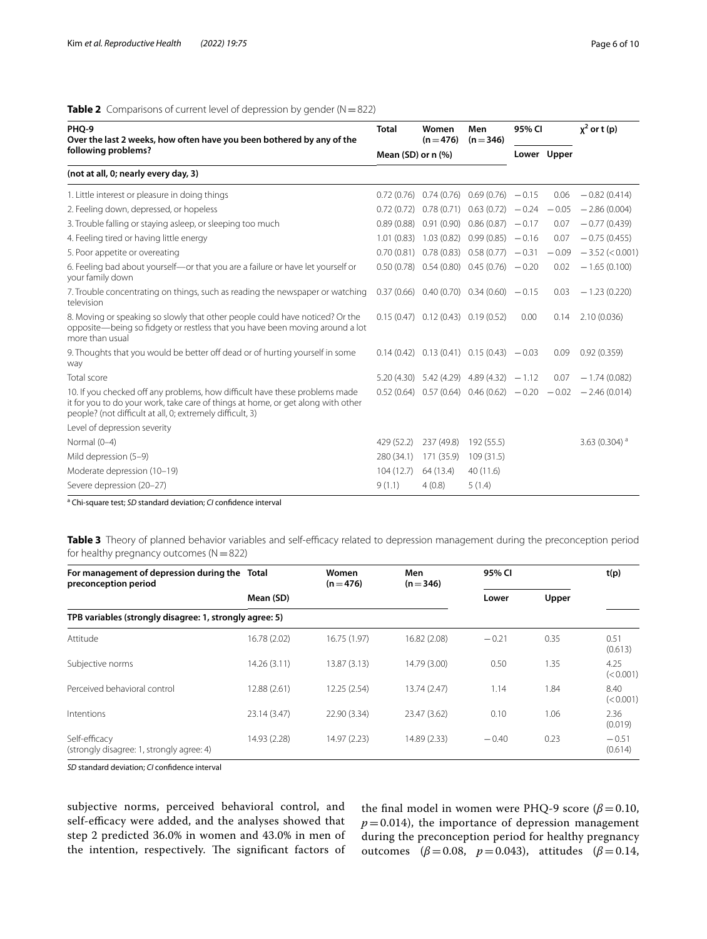# <span id="page-5-0"></span>**Table 2** Comparisons of current level of depression by gender (N=822)

| PHQ-9<br>Over the last 2 weeks, how often have you been bothered by any of the                                                                                                                                               |                      | Women<br>$(n=476)$                             | Men<br>$(n=346)$                  | 95% CI |             | $x^2$ or t (p)    |
|------------------------------------------------------------------------------------------------------------------------------------------------------------------------------------------------------------------------------|----------------------|------------------------------------------------|-----------------------------------|--------|-------------|-------------------|
| following problems?                                                                                                                                                                                                          | Mean (SD) or $n$ (%) |                                                |                                   |        | Lower Upper |                   |
| (not at all, 0; nearly every day, 3)                                                                                                                                                                                         |                      |                                                |                                   |        |             |                   |
| 1. Little interest or pleasure in doing things                                                                                                                                                                               | 0.72(0.76)           |                                                | $0.74(0.76)$ $0.69(0.76)$ $-0.15$ |        | 0.06        | $-0.82(0.414)$    |
| 2. Feeling down, depressed, or hopeless                                                                                                                                                                                      | 0.72(0.72)           |                                                | $0.78(0.71)$ $0.63(0.72)$ $-0.24$ |        | $-0.05$     | $-2.86(0.004)$    |
| 3. Trouble falling or staying asleep, or sleeping too much                                                                                                                                                                   | 0.89(0.88)           | 0.91(0.90)                                     | $0.86(0.87) -0.17$                |        | 0.07        | $-0.77(0.439)$    |
| 4. Feeling tired or having little energy                                                                                                                                                                                     | 1.01(0.83)           | 1.03(0.82)                                     | $0.99(0.85) -0.16$                |        | 0.07        | $-0.75(0.455)$    |
| 5. Poor appetite or overeating                                                                                                                                                                                               | 0.70(0.81)           |                                                | $0.78(0.83)$ $0.58(0.77)$ $-0.31$ |        | $-0.09$     | $-3.52$ (< 0.001) |
| 6. Feeling bad about yourself-or that you are a failure or have let yourself or<br>your family down                                                                                                                          |                      | $0.50(0.78)$ $0.54(0.80)$ $0.45(0.76)$ $-0.20$ |                                   |        | 0.02        | $-1.65(0.100)$    |
| 7. Trouble concentrating on things, such as reading the newspaper or watching<br>television                                                                                                                                  |                      | $0.37(0.66)$ $0.40(0.70)$ $0.34(0.60)$ $-0.15$ |                                   |        | 0.03        | $-1.23(0.220)$    |
| 8. Moving or speaking so slowly that other people could have noticed? Or the<br>opposite—being so fidgety or restless that you have been moving around a lot<br>more than usual                                              |                      | $0.15(0.47)$ $0.12(0.43)$ $0.19(0.52)$         |                                   | 0.00   | 0.14        | 2.10(0.036)       |
| 9. Thoughts that you would be better off dead or of hurting yourself in some<br>way                                                                                                                                          |                      | $0.14(0.42)$ $0.13(0.41)$ $0.15(0.43)$ $-0.03$ |                                   |        | 0.09        | 0.92(0.359)       |
| Total score                                                                                                                                                                                                                  |                      | $5.20(4.30)$ $5.42(4.29)$ $4.89(4.32)$ $-1.12$ |                                   |        | 0.07        | $-1.74(0.082)$    |
| 10. If you checked off any problems, how difficult have these problems made<br>it for you to do your work, take care of things at home, or get along with other<br>people? (not difficult at all, 0; extremely difficult, 3) |                      | $0.52(0.64)$ $0.57(0.64)$ $0.46(0.62)$ $-0.20$ |                                   |        | $-0.02$     | $-2.46(0.014)$    |
| Level of depression severity                                                                                                                                                                                                 |                      |                                                |                                   |        |             |                   |
| Normal (0-4)                                                                                                                                                                                                                 | 429 (52.2)           | 237 (49.8)                                     | 192 (55.5)                        |        |             | 3.63 (0.304) $a$  |
| Mild depression (5-9)                                                                                                                                                                                                        | 280 (34.1)           | 171 (35.9)                                     | 109(31.5)                         |        |             |                   |
| Moderate depression (10-19)                                                                                                                                                                                                  | 104(12.7)            | 64 (13.4)                                      | 40(11.6)                          |        |             |                   |
| Severe depression (20-27)                                                                                                                                                                                                    | 9(1.1)               | 4(0.8)                                         | 5(1.4)                            |        |             |                   |

a Chi-square test; *SD* standard deviation; *CI* confdence interval

<span id="page-5-1"></span>Table 3 Theory of planned behavior variables and self-efficacy related to depression management during the preconception period for healthy pregnancy outcomes  $(N=822)$ 

| For management of depression during the Total<br>preconception period |              | Women<br>$(n=476)$ | Men<br>$(n=346)$ | 95% CI         |      | t(p)               |  |  |  |
|-----------------------------------------------------------------------|--------------|--------------------|------------------|----------------|------|--------------------|--|--|--|
|                                                                       | Mean (SD)    |                    |                  | Upper<br>Lower |      |                    |  |  |  |
| TPB variables (strongly disagree: 1, strongly agree: 5)               |              |                    |                  |                |      |                    |  |  |  |
| Attitude                                                              | 16.78 (2.02) | 16.75 (1.97)       | 16.82 (2.08)     | $-0.21$        | 0.35 | 0.51<br>(0.613)    |  |  |  |
| Subjective norms                                                      | 14.26 (3.11) | 13.87 (3.13)       | 14.79 (3.00)     | 0.50           | 1.35 | 4.25<br>(< 0.001)  |  |  |  |
| Perceived behavioral control                                          | 12.88 (2.61) | 12.25 (2.54)       | 13.74 (2.47)     | 1.14           | 1.84 | 8.40<br>(< 0.001)  |  |  |  |
| Intentions                                                            | 23.14 (3.47) | 22.90 (3.34)       | 23.47 (3.62)     | 0.10           | 1.06 | 2.36<br>(0.019)    |  |  |  |
| Self-efficacy<br>(strongly disagree: 1, strongly agree: 4)            | 14.93 (2.28) | 14.97 (2.23)       | 14.89 (2.33)     | $-0.40$        | 0.23 | $-0.51$<br>(0.614) |  |  |  |

*SD* standard deviation; *CI* confdence interval

subjective norms, perceived behavioral control, and self-efficacy were added, and the analyses showed that step 2 predicted 36.0% in women and 43.0% in men of the intention, respectively. The significant factors of the final model in women were PHQ-9 score ( $\beta$ =0.10,  $p = 0.014$ ), the importance of depression management during the preconception period for healthy pregnancy outcomes (*β*=0.08, *p*=0.043), attitudes (*β*=0.14,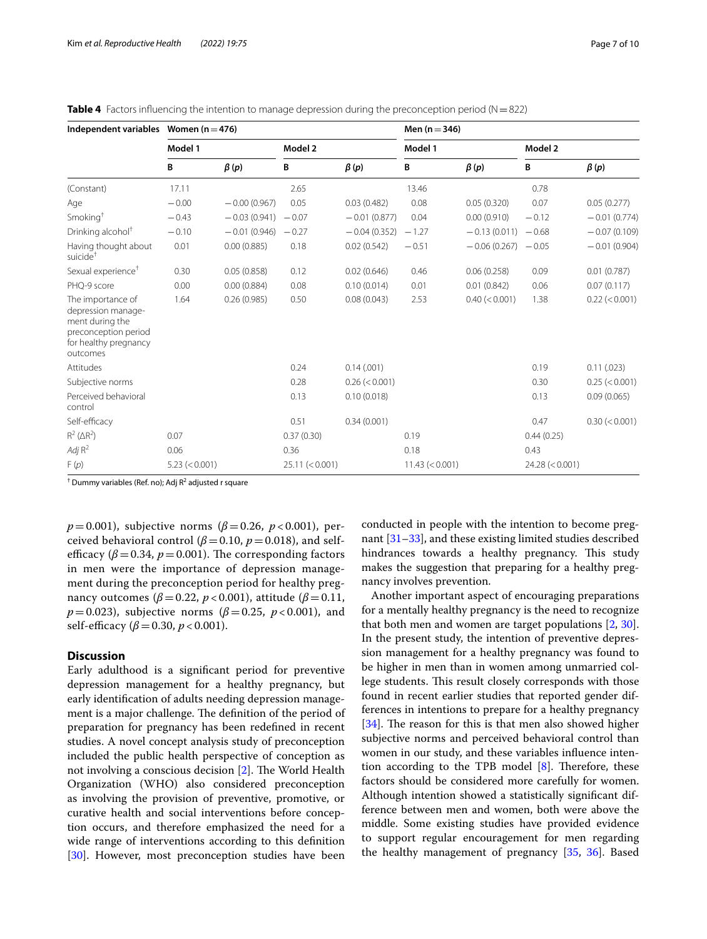| Independent variables Women ( $n = 476$ )                                                                               |                |                |                 |                   | Men $(n = 346)$ |                |                 |                  |  |
|-------------------------------------------------------------------------------------------------------------------------|----------------|----------------|-----------------|-------------------|-----------------|----------------|-----------------|------------------|--|
|                                                                                                                         | Model 1        |                | Model 2         |                   | Model 1         |                | Model 2         |                  |  |
|                                                                                                                         | В              | $\beta(p)$     | В               | $\beta(p)$        | В               | $\beta(p)$     | В               | $\beta(p)$       |  |
| (Constant)                                                                                                              | 17.11          |                | 2.65            |                   | 13.46           |                | 0.78            |                  |  |
| Age                                                                                                                     | $-0.00$        | $-0.00(0.967)$ | 0.05            | 0.03(0.482)       | 0.08            | 0.05(0.320)    | 0.07            | 0.05(0.277)      |  |
| Smoking <sup>+</sup>                                                                                                    | $-0.43$        | $-0.03(0.941)$ | $-0.07$         | $-0.01(0.877)$    | 0.04            | 0.00(0.910)    | $-0.12$         | $-0.01(0.774)$   |  |
| Drinking alcohol <sup>†</sup>                                                                                           | $-0.10$        | $-0.01(0.946)$ | $-0.27$         | $-0.04(0.352)$    | $-1.27$         | $-0.13(0.011)$ | $-0.68$         | $-0.07(0.109)$   |  |
| Having thought about<br>suicide <sup>+</sup>                                                                            | 0.01           | 0.00(0.885)    | 0.18            | 0.02(0.542)       | $-0.51$         | $-0.06(0.267)$ | $-0.05$         | $-0.01(0.904)$   |  |
| Sexual experience <sup>+</sup>                                                                                          | 0.30           | 0.05(0.858)    | 0.12            | 0.02(0.646)       | 0.46            | 0.06(0.258)    | 0.09            | 0.01(0.787)      |  |
| PHQ-9 score                                                                                                             | 0.00           | 0.00(0.884)    | 0.08            | 0.10(0.014)       | 0.01            | 0.01(0.842)    | 0.06            | 0.07(0.117)      |  |
| The importance of<br>depression manage-<br>ment during the<br>preconception period<br>for healthy pregnancy<br>outcomes | 1.64           | 0.26(0.985)    | 0.50            | 0.08(0.043)       | 2.53            | 0.40 (< 0.001) | 1.38            | 0.22 (< 0.001)   |  |
| Attitudes                                                                                                               |                |                | 0.24            | 0.14(001)         |                 |                | 0.19            | 0.11(.023)       |  |
| Subjective norms                                                                                                        |                |                | 0.28            | $0.26 \leq 0.001$ |                 |                | 0.30            | $0.25 \le 0.001$ |  |
| Perceived behavioral<br>control                                                                                         |                |                | 0.13            | 0.10(0.018)       |                 |                | 0.13            | 0.09(0.065)      |  |
| Self-efficacy                                                                                                           |                |                | 0.51            | 0.34(0.001)       |                 |                | 0.47            | $0.30 \le 0.001$ |  |
| $R^2$ ( $\triangle R^2$ )                                                                                               | 0.07           |                | 0.37(0.30)      |                   | 0.19            |                | 0.44(0.25)      |                  |  |
| Adj $R^2$                                                                                                               | 0.06           |                | 0.36            |                   | 0.18            |                | 0.43            |                  |  |
| F(p)                                                                                                                    | 5.23 (< 0.001) |                | 25.11 (< 0.001) |                   | 11.43 (< 0.001) |                | 24.28 (< 0.001) |                  |  |

<span id="page-6-0"></span>**Table 4** Factors influencing the intention to manage depression during the preconception period ( $N=822$ )

<sup>†</sup> Dummy variables (Ref. no); Adj R<sup>2</sup> adjusted r square

*p*=0.001), subjective norms ( $\beta$ =0.26, *p* < 0.001), perceived behavioral control ( $\beta$ =0.10,  $p$  =0.018), and selfefficacy ( $\beta$  = 0.34,  $p$  = 0.001). The corresponding factors in men were the importance of depression management during the preconception period for healthy pregnancy outcomes ( $\beta$ =0.22, *p* < 0.001), attitude ( $\beta$ =0.11, *p*=0.023), subjective norms ( $\beta$ =0.25, *p* < 0.001), and self-efficacy ( $\beta$  = 0.30, *p* < 0.001).

# **Discussion**

Early adulthood is a signifcant period for preventive depression management for a healthy pregnancy, but early identifcation of adults needing depression management is a major challenge. The definition of the period of preparation for pregnancy has been redefned in recent studies. A novel concept analysis study of preconception included the public health perspective of conception as not involving a conscious decision [\[2](#page-8-1)]. The World Health Organization (WHO) also considered preconception as involving the provision of preventive, promotive, or curative health and social interventions before conception occurs, and therefore emphasized the need for a wide range of interventions according to this defnition [[30\]](#page-9-18). However, most preconception studies have been

conducted in people with the intention to become pregnant [[31](#page-9-19)[–33](#page-9-20)], and these existing limited studies described hindrances towards a healthy pregnancy. This study makes the suggestion that preparing for a healthy pregnancy involves prevention.

Another important aspect of encouraging preparations for a mentally healthy pregnancy is the need to recognize that both men and women are target populations [\[2](#page-8-1), [30](#page-9-18)]. In the present study, the intention of preventive depression management for a healthy pregnancy was found to be higher in men than in women among unmarried college students. This result closely corresponds with those found in recent earlier studies that reported gender differences in intentions to prepare for a healthy pregnancy  $[34]$  $[34]$ . The reason for this is that men also showed higher subjective norms and perceived behavioral control than women in our study, and these variables infuence intention according to the TPB model  $[8]$ . Therefore, these factors should be considered more carefully for women. Although intention showed a statistically signifcant difference between men and women, both were above the middle. Some existing studies have provided evidence to support regular encouragement for men regarding the healthy management of pregnancy [[35,](#page-9-22) [36](#page-9-23)]. Based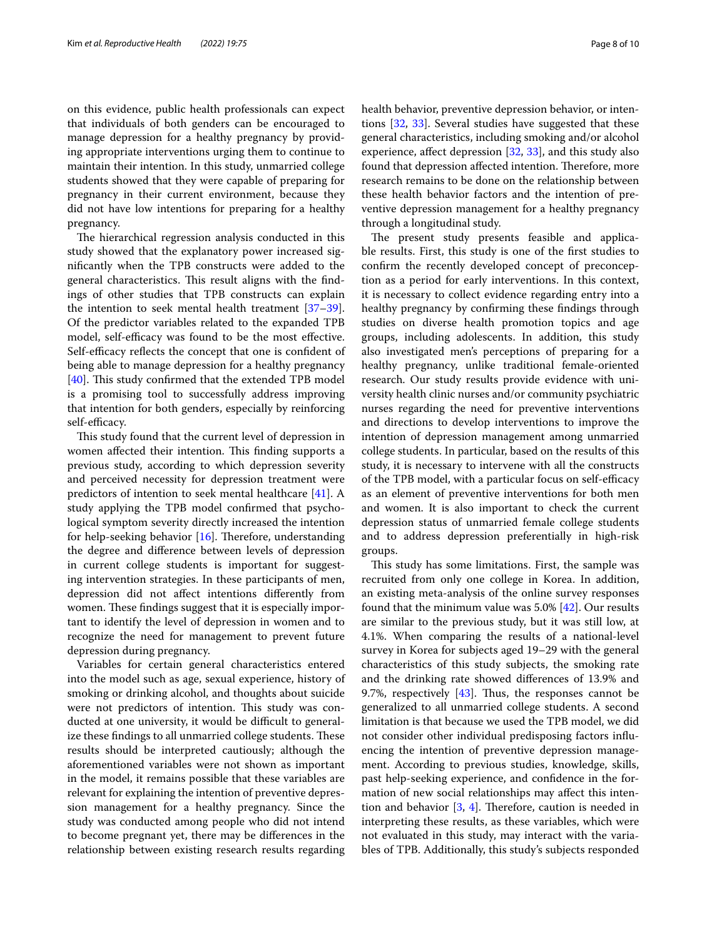on this evidence, public health professionals can expect that individuals of both genders can be encouraged to manage depression for a healthy pregnancy by providing appropriate interventions urging them to continue to maintain their intention. In this study, unmarried college students showed that they were capable of preparing for pregnancy in their current environment, because they did not have low intentions for preparing for a healthy pregnancy.

The hierarchical regression analysis conducted in this study showed that the explanatory power increased signifcantly when the TPB constructs were added to the general characteristics. This result aligns with the findings of other studies that TPB constructs can explain the intention to seek mental health treatment [[37](#page-9-24)[–39](#page-9-25)]. Of the predictor variables related to the expanded TPB model, self-efficacy was found to be the most effective. Self-efficacy reflects the concept that one is confident of being able to manage depression for a healthy pregnancy  $[40]$  $[40]$ . This study confirmed that the extended TPB model is a promising tool to successfully address improving that intention for both genders, especially by reinforcing self-efficacy.

This study found that the current level of depression in women affected their intention. This finding supports a previous study, according to which depression severity and perceived necessity for depression treatment were predictors of intention to seek mental healthcare [\[41](#page-9-27)]. A study applying the TPB model confrmed that psychological symptom severity directly increased the intention for help-seeking behavior  $[16]$ . Therefore, understanding the degree and diference between levels of depression in current college students is important for suggesting intervention strategies. In these participants of men, depression did not afect intentions diferently from women. These findings suggest that it is especially important to identify the level of depression in women and to recognize the need for management to prevent future depression during pregnancy.

Variables for certain general characteristics entered into the model such as age, sexual experience, history of smoking or drinking alcohol, and thoughts about suicide were not predictors of intention. This study was conducted at one university, it would be difficult to generalize these findings to all unmarried college students. These results should be interpreted cautiously; although the aforementioned variables were not shown as important in the model, it remains possible that these variables are relevant for explaining the intention of preventive depression management for a healthy pregnancy. Since the study was conducted among people who did not intend to become pregnant yet, there may be diferences in the relationship between existing research results regarding health behavior, preventive depression behavior, or intentions [[32,](#page-9-28) [33](#page-9-20)]. Several studies have suggested that these general characteristics, including smoking and/or alcohol experience, affect depression  $[32, 33]$  $[32, 33]$  $[32, 33]$ , and this study also found that depression affected intention. Therefore, more research remains to be done on the relationship between these health behavior factors and the intention of preventive depression management for a healthy pregnancy through a longitudinal study.

The present study presents feasible and applicable results. First, this study is one of the frst studies to confrm the recently developed concept of preconception as a period for early interventions. In this context, it is necessary to collect evidence regarding entry into a healthy pregnancy by confrming these fndings through studies on diverse health promotion topics and age groups, including adolescents. In addition, this study also investigated men's perceptions of preparing for a healthy pregnancy, unlike traditional female-oriented research. Our study results provide evidence with university health clinic nurses and/or community psychiatric nurses regarding the need for preventive interventions and directions to develop interventions to improve the intention of depression management among unmarried college students. In particular, based on the results of this study, it is necessary to intervene with all the constructs of the TPB model, with a particular focus on self-efficacy as an element of preventive interventions for both men and women. It is also important to check the current depression status of unmarried female college students and to address depression preferentially in high-risk groups.

This study has some limitations. First, the sample was recruited from only one college in Korea. In addition, an existing meta-analysis of the online survey responses found that the minimum value was 5.0% [[42](#page-9-29)]. Our results are similar to the previous study, but it was still low, at 4.1%. When comparing the results of a national-level survey in Korea for subjects aged 19–29 with the general characteristics of this study subjects, the smoking rate and the drinking rate showed diferences of 13.9% and 9.7%, respectively  $[43]$  $[43]$  $[43]$ . Thus, the responses cannot be generalized to all unmarried college students. A second limitation is that because we used the TPB model, we did not consider other individual predisposing factors infuencing the intention of preventive depression management. According to previous studies, knowledge, skills, past help-seeking experience, and confdence in the formation of new social relationships may afect this intention and behavior  $[3, 4]$  $[3, 4]$  $[3, 4]$  $[3, 4]$  $[3, 4]$ . Therefore, caution is needed in interpreting these results, as these variables, which were not evaluated in this study, may interact with the variables of TPB. Additionally, this study's subjects responded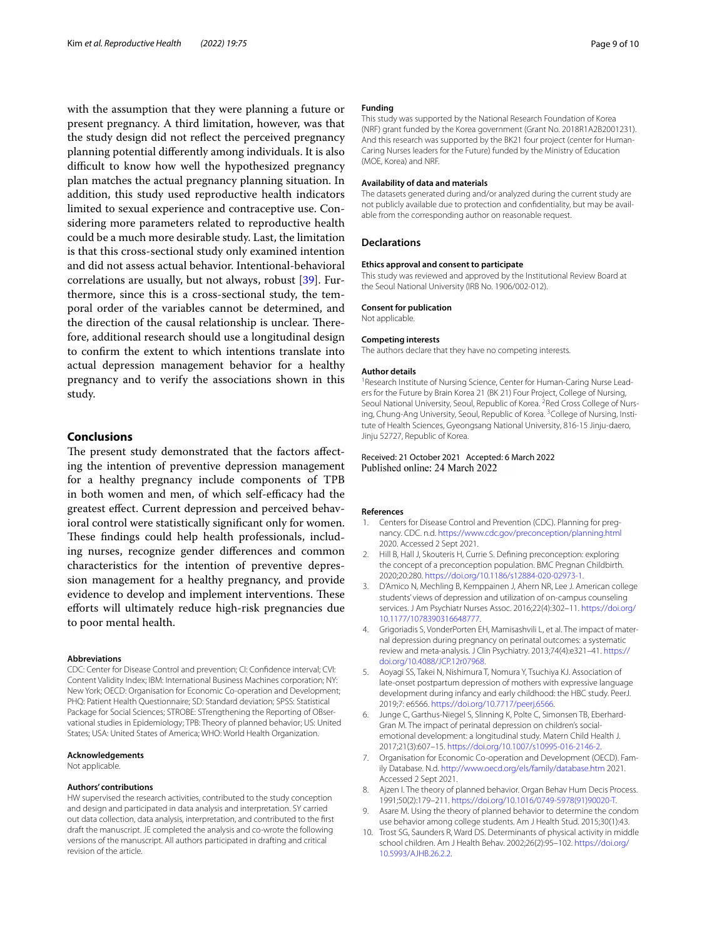with the assumption that they were planning a future or present pregnancy. A third limitation, however, was that the study design did not refect the perceived pregnancy planning potential diferently among individuals. It is also difficult to know how well the hypothesized pregnancy plan matches the actual pregnancy planning situation. In addition, this study used reproductive health indicators limited to sexual experience and contraceptive use. Considering more parameters related to reproductive health could be a much more desirable study. Last, the limitation is that this cross-sectional study only examined intention and did not assess actual behavior. Intentional-behavioral correlations are usually, but not always, robust [\[39\]](#page-9-25). Furthermore, since this is a cross-sectional study, the temporal order of the variables cannot be determined, and the direction of the causal relationship is unclear. Therefore, additional research should use a longitudinal design to confrm the extent to which intentions translate into actual depression management behavior for a healthy pregnancy and to verify the associations shown in this study.

# **Conclusions**

The present study demonstrated that the factors affecting the intention of preventive depression management for a healthy pregnancy include components of TPB in both women and men, of which self-efficacy had the greatest efect. Current depression and perceived behavioral control were statistically signifcant only for women. These findings could help health professionals, including nurses, recognize gender diferences and common characteristics for the intention of preventive depression management for a healthy pregnancy, and provide evidence to develop and implement interventions. These efforts will ultimately reduce high-risk pregnancies due to poor mental health.

## **Abbreviations**

CDC: Center for Disease Control and prevention; CI: Confdence interval; CVI: Content Validity Index; IBM: International Business Machines corporation; NY: New York; OECD: Organisation for Economic Co-operation and Development; PHQ: Patient Health Questionnaire; SD: Standard deviation; SPSS: Statistical Package for Social Sciences; STROBE: STrengthening the Reporting of OBservational studies in Epidemiology; TPB: Theory of planned behavior; US: United States; USA: United States of America; WHO: World Health Organization.

# **Acknowledgements**

Not applicable.

### **Authors' contributions**

HW supervised the research activities, contributed to the study conception and design and participated in data analysis and interpretation. SY carried out data collection, data analysis, interpretation, and contributed to the frst draft the manuscript. JE completed the analysis and co-wrote the following versions of the manuscript. All authors participated in drafting and critical revision of the article.

## **Funding**

This study was supported by the National Research Foundation of Korea (NRF) grant funded by the Korea government (Grant No. 2018R1A2B2001231). And this research was supported by the BK21 four project (center for Human-Caring Nurses leaders for the Future) funded by the Ministry of Education (MOE, Korea) and NRF.

#### **Availability of data and materials**

The datasets generated during and/or analyzed during the current study are not publicly available due to protection and confdentiality, but may be available from the corresponding author on reasonable request.

#### **Declarations**

## **Ethics approval and consent to participate**

This study was reviewed and approved by the Institutional Review Board at the Seoul National University (IRB No. 1906/002-012).

## **Consent for publication**

Not applicable.

#### **Competing interests**

The authors declare that they have no competing interests.

#### **Author details**

<sup>1</sup> Research Institute of Nursing Science, Center for Human-Caring Nurse Leaders for the Future by Brain Korea 21 (BK 21) Four Project, College of Nursing, Seoul National University, Seoul, Republic of Korea. <sup>2</sup> Red Cross College of Nursing, Chung-Ang University, Seoul, Republic of Korea. <sup>3</sup>College of Nursing, Institute of Health Sciences, Gyeongsang National University, 816-15 Jinju-daero, Jinju 52727, Republic of Korea.

# Received: 21 October 2021 Accepted: 6 March 2022 Published online: 24 March 2022

#### **References**

- <span id="page-8-0"></span>1. Centers for Disease Control and Prevention (CDC). Planning for pregnancy. CDC. n.d.<https://www.cdc.gov/preconception/planning.html> 2020. Accessed 2 Sept 2021.
- <span id="page-8-1"></span>2. Hill B, Hall J, Skouteris H, Currie S. Defning preconception: exploring the concept of a preconception population. BMC Pregnan Childbirth. 2020;20:280. [https://doi.org/10.1186/s12884-020-02973-1.](https://doi.org/10.1186/s12884-020-02973-1)
- <span id="page-8-2"></span>3. D'Amico N, Mechling B, Kemppainen J, Ahern NR, Lee J. American college students' views of depression and utilization of on-campus counseling services. J Am Psychiatr Nurses Assoc. 2016;22(4):302–11. [https://doi.org/](https://doi.org/10.1177/1078390316648777) [10.1177/1078390316648777](https://doi.org/10.1177/1078390316648777).
- <span id="page-8-3"></span>4. Grigoriadis S, VonderPorten EH, Mamisashvili L, et al. The impact of maternal depression during pregnancy on perinatal outcomes: a systematic review and meta-analysis. J Clin Psychiatry. 2013;74(4):e321–41. [https://](https://doi.org/10.4088/JCP.12r07968) [doi.org/10.4088/JCP.12r07968](https://doi.org/10.4088/JCP.12r07968).
- 5. Aoyagi SS, Takei N, Nishimura T, Nomura Y, Tsuchiya KJ. Association of late-onset postpartum depression of mothers with expressive language development during infancy and early childhood: the HBC study. PeerJ. 2019;7: e6566. <https://doi.org/10.7717/peerj.6566>.
- <span id="page-8-4"></span>6. Junge C, Garthus-Niegel S, Slinning K, Polte C, Simonsen TB, Eberhard-Gran M. The impact of perinatal depression on children's socialemotional development: a longitudinal study. Matern Child Health J. 2017;21(3):607–15. [https://doi.org/10.1007/s10995-016-2146-2.](https://doi.org/10.1007/s10995-016-2146-2)
- <span id="page-8-5"></span>7. Organisation for Economic Co-operation and Development (OECD). Family Database. N.d. <http://www.oecd.org/els/family/database.htm>2021. Accessed 2 Sept 2021.
- <span id="page-8-6"></span>8. Ajzen I. The theory of planned behavior. Organ Behav Hum Decis Process. 1991;50(2):179–211. [https://doi.org/10.1016/0749-5978\(91\)90020-T.](https://doi.org/10.1016/0749-5978(91)90020-T)
- <span id="page-8-7"></span>9. Asare M. Using the theory of planned behavior to determine the condom use behavior among college students. Am J Health Stud. 2015;30(1):43.
- <span id="page-8-8"></span>10. Trost SG, Saunders R, Ward DS. Determinants of physical activity in middle school children. Am J Health Behav. 2002;26(2):95–102. [https://doi.org/](https://doi.org/10.5993/AJHB.26.2.2) [10.5993/AJHB.26.2.2.](https://doi.org/10.5993/AJHB.26.2.2)